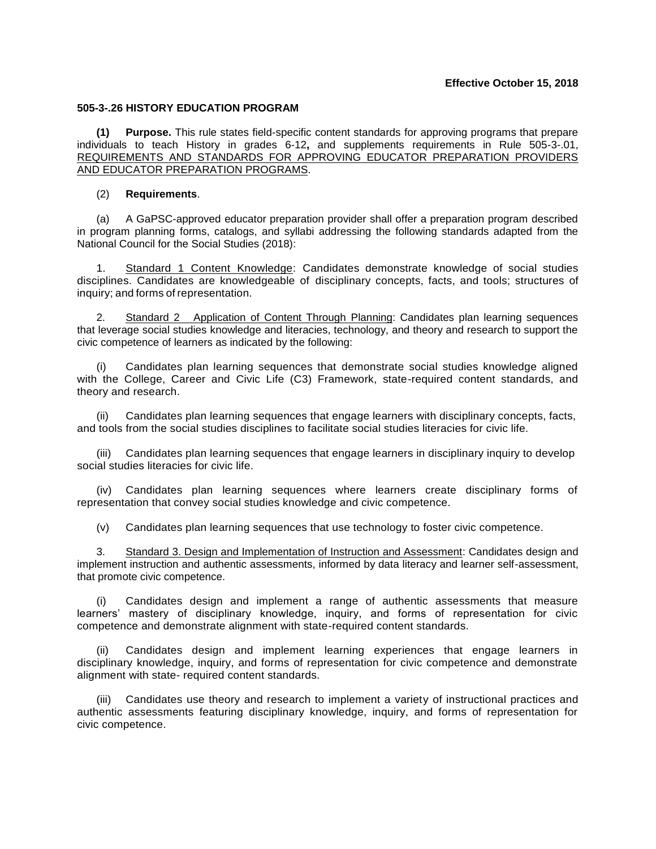## **505-3-.26 HISTORY EDUCATION PROGRAM**

**(1) Purpose.** This rule states field-specific content standards for approving programs that prepare individuals to teach History in grades 6-12**,** and supplements requirements in Rule 505-3-.01, REQUIREMENTS AND STANDARDS FOR APPROVING EDUCATOR PREPARATION PROVIDERS AND EDUCATOR PREPARATION PROGRAMS.

## (2) **Requirements**.

(a) A GaPSC-approved educator preparation provider shall offer a preparation program described in program planning forms, catalogs, and syllabi addressing the following standards adapted from the National Council for the Social Studies (2018):

1. Standard 1 Content Knowledge: Candidates demonstrate knowledge of social studies disciplines. Candidates are knowledgeable of disciplinary concepts, facts, and tools; structures of inquiry; and forms of representation.

2. Standard 2 Application of Content Through Planning: Candidates plan learning sequences that leverage social studies knowledge and literacies, technology, and theory and research to support the civic competence of learners as indicated by the following:

Candidates plan learning sequences that demonstrate social studies knowledge aligned with the College, Career and Civic Life (C3) Framework, state-required content standards, and theory and research.

(ii) Candidates plan learning sequences that engage learners with disciplinary concepts, facts, and tools from the social studies disciplines to facilitate social studies literacies for civic life.

(iii) Candidates plan learning sequences that engage learners in disciplinary inquiry to develop social studies literacies for civic life.

(iv) Candidates plan learning sequences where learners create disciplinary forms of representation that convey social studies knowledge and civic competence.

(v) Candidates plan learning sequences that use technology to foster civic competence.

3. Standard 3. Design and Implementation of Instruction and Assessment: Candidates design and implement instruction and authentic assessments, informed by data literacy and learner self-assessment, that promote civic competence.

(i) Candidates design and implement a range of authentic assessments that measure learners' mastery of disciplinary knowledge, inquiry, and forms of representation for civic competence and demonstrate alignment with state-required content standards.

Candidates design and implement learning experiences that engage learners in disciplinary knowledge, inquiry, and forms of representation for civic competence and demonstrate alignment with state- required content standards.

(iii) Candidates use theory and research to implement a variety of instructional practices and authentic assessments featuring disciplinary knowledge, inquiry, and forms of representation for civic competence.